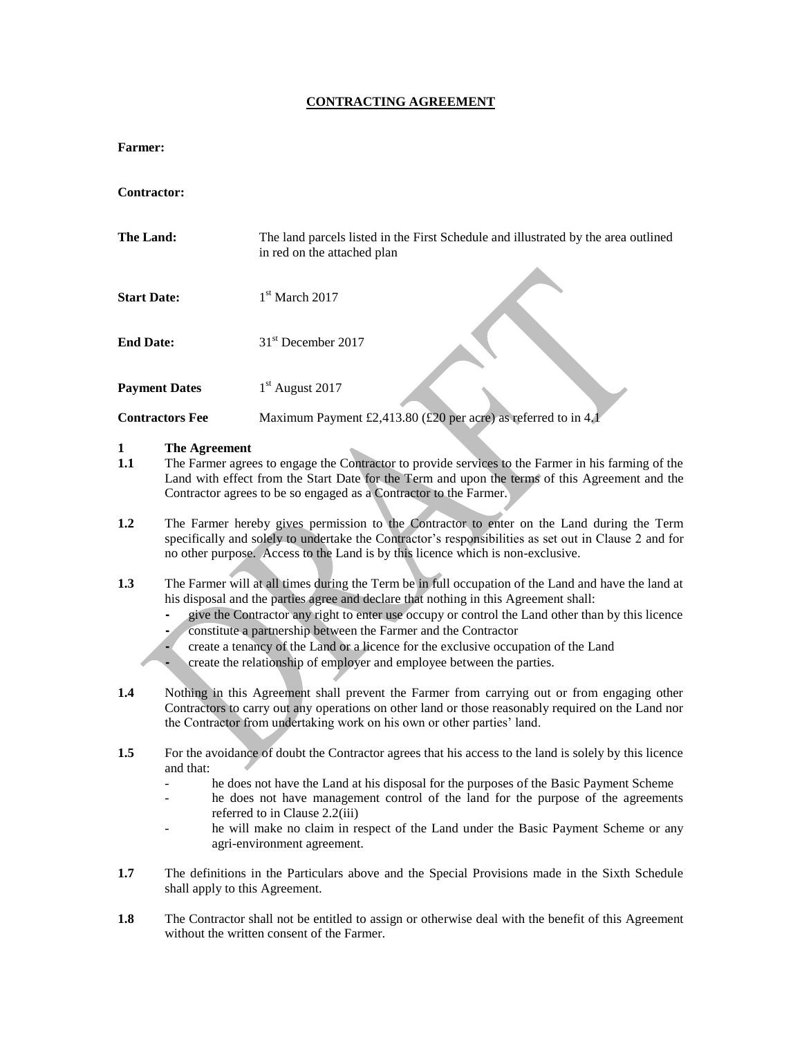#### **CONTRACTING AGREEMENT**

#### **Farmer:**

**Contractor:**

| The Land:              | The land parcels listed in the First Schedule and illustrated by the area outlined<br>in red on the attached plan |  |
|------------------------|-------------------------------------------------------------------------------------------------------------------|--|
| <b>Start Date:</b>     | $1st$ March 2017                                                                                                  |  |
| <b>End Date:</b>       | 31 <sup>st</sup> December 2017                                                                                    |  |
| <b>Payment Dates</b>   | $1st$ August 2017                                                                                                 |  |
| <b>Contractors Fee</b> | Maximum Payment £2,413.80 (£20 per acre) as referred to in 4.1                                                    |  |
| The <i>L</i> onsoment  |                                                                                                                   |  |

- **1.1 The Agreement**<br>**1.1 The Farmer agre 1.1** The Farmer agrees to engage the Contractor to provide services to the Farmer in his farming of the Land with effect from the Start Date for the Term and upon the terms of this Agreement and the Contractor agrees to be so engaged as a Contractor to the Farmer.
- **1.2** The Farmer hereby gives permission to the Contractor to enter on the Land during the Term specifically and solely to undertake the Contractor's responsibilities as set out in Clause 2 and for no other purpose. Access to the Land is by this licence which is non-exclusive.
- **1.3** The Farmer will at all times during the Term be in full occupation of the Land and have the land at his disposal and the parties agree and declare that nothing in this Agreement shall:
	- **-** give the Contractor any right to enter use occupy or control the Land other than by this licence
	- **-** constitute a partnership between the Farmer and the Contractor
	- **-** create a tenancy of the Land or a licence for the exclusive occupation of the Land
	- **-** create the relationship of employer and employee between the parties.
- **1.4** Nothing in this Agreement shall prevent the Farmer from carrying out or from engaging other Contractors to carry out any operations on other land or those reasonably required on the Land nor the Contractor from undertaking work on his own or other parties' land.
- **1.5** For the avoidance of doubt the Contractor agrees that his access to the land is solely by this licence and that:
	- he does not have the Land at his disposal for the purposes of the Basic Payment Scheme
	- he does not have management control of the land for the purpose of the agreements referred to in Clause 2.2(iii)
	- he will make no claim in respect of the Land under the Basic Payment Scheme or any agri-environment agreement.
- **1.7** The definitions in the Particulars above and the Special Provisions made in the Sixth Schedule shall apply to this Agreement.
- **1.8** The Contractor shall not be entitled to assign or otherwise deal with the benefit of this Agreement without the written consent of the Farmer.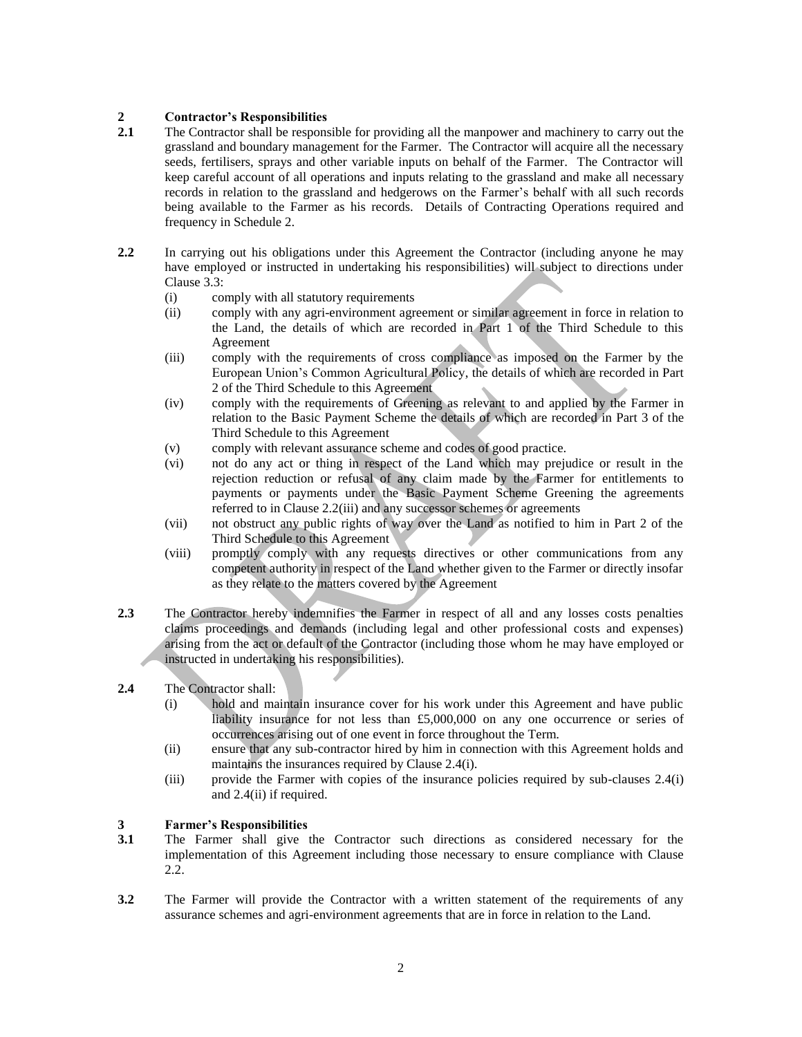# **2 Contractor's Responsibilities**

- **2.1** The Contractor shall be responsible for providing all the manpower and machinery to carry out the grassland and boundary management for the Farmer. The Contractor will acquire all the necessary seeds, fertilisers, sprays and other variable inputs on behalf of the Farmer. The Contractor will keep careful account of all operations and inputs relating to the grassland and make all necessary records in relation to the grassland and hedgerows on the Farmer's behalf with all such records being available to the Farmer as his records. Details of Contracting Operations required and frequency in Schedule 2.
- **2.2** In carrying out his obligations under this Agreement the Contractor (including anyone he may have employed or instructed in undertaking his responsibilities) will subject to directions under Clause 3.3:
	- (i) comply with all statutory requirements
	- (ii) comply with any agri-environment agreement or similar agreement in force in relation to the Land, the details of which are recorded in Part 1 of the Third Schedule to this Agreement
	- (iii) comply with the requirements of cross compliance as imposed on the Farmer by the European Union's Common Agricultural Policy, the details of which are recorded in Part 2 of the Third Schedule to this Agreement
	- (iv) comply with the requirements of Greening as relevant to and applied by the Farmer in relation to the Basic Payment Scheme the details of which are recorded in Part 3 of the Third Schedule to this Agreement
	- (v) comply with relevant assurance scheme and codes of good practice.
	- (vi) not do any act or thing in respect of the Land which may prejudice or result in the rejection reduction or refusal of any claim made by the Farmer for entitlements to payments or payments under the Basic Payment Scheme Greening the agreements referred to in Clause 2.2(iii) and any successor schemes or agreements
	- (vii) not obstruct any public rights of way over the Land as notified to him in Part 2 of the Third Schedule to this Agreement
	- (viii) promptly comply with any requests directives or other communications from any competent authority in respect of the Land whether given to the Farmer or directly insofar as they relate to the matters covered by the Agreement
- **2.3** The Contractor hereby indemnifies the Farmer in respect of all and any losses costs penalties claims proceedings and demands (including legal and other professional costs and expenses) arising from the act or default of the Contractor (including those whom he may have employed or instructed in undertaking his responsibilities).
- **2.4** The Contractor shall:
	- (i) hold and maintain insurance cover for his work under this Agreement and have public liability insurance for not less than £5,000,000 on any one occurrence or series of occurrences arising out of one event in force throughout the Term.
	- (ii) ensure that any sub-contractor hired by him in connection with this Agreement holds and maintains the insurances required by Clause 2.4(i).
	- (iii) provide the Farmer with copies of the insurance policies required by sub-clauses 2.4(i) and 2.4(ii) if required.

## **3 Farmer's Responsibilities**

- **3.1** The Farmer shall give the Contractor such directions as considered necessary for the implementation of this Agreement including those necessary to ensure compliance with Clause 2.2.
- **3.2** The Farmer will provide the Contractor with a written statement of the requirements of any assurance schemes and agri-environment agreements that are in force in relation to the Land.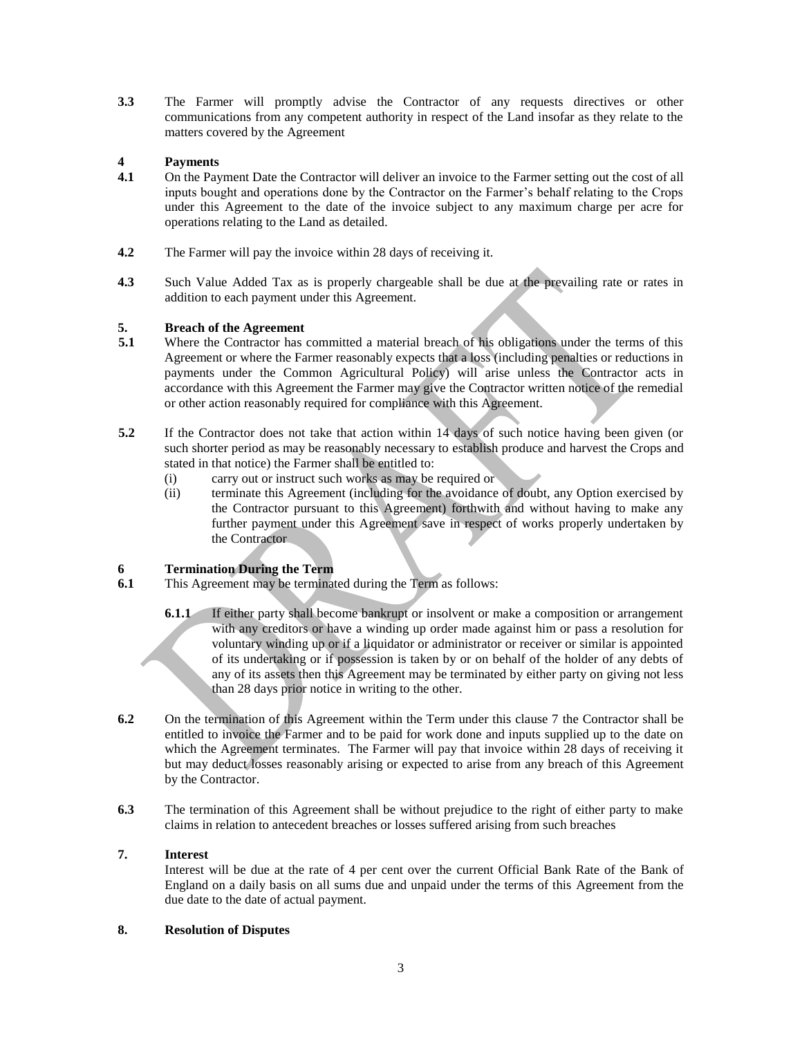**3.3** The Farmer will promptly advise the Contractor of any requests directives or other communications from any competent authority in respect of the Land insofar as they relate to the matters covered by the Agreement

## **4 Payments**

- **4.1** On the Payment Date the Contractor will deliver an invoice to the Farmer setting out the cost of all inputs bought and operations done by the Contractor on the Farmer's behalf relating to the Crops under this Agreement to the date of the invoice subject to any maximum charge per acre for operations relating to the Land as detailed.
- **4.2** The Farmer will pay the invoice within 28 days of receiving it.
- **4.3** Such Value Added Tax as is properly chargeable shall be due at the prevailing rate or rates in addition to each payment under this Agreement.

## **5. Breach of the Agreement**

- **5.1** Where the Contractor has committed a material breach of his obligations under the terms of this Agreement or where the Farmer reasonably expects that a loss (including penalties or reductions in payments under the Common Agricultural Policy) will arise unless the Contractor acts in accordance with this Agreement the Farmer may give the Contractor written notice of the remedial or other action reasonably required for compliance with this Agreement.
- **5.2** If the Contractor does not take that action within 14 days of such notice having been given (or such shorter period as may be reasonably necessary to establish produce and harvest the Crops and stated in that notice) the Farmer shall be entitled to:
	- (i) carry out or instruct such works as may be required or
	- (ii) terminate this Agreement (including for the avoidance of doubt, any Option exercised by the Contractor pursuant to this Agreement) forthwith and without having to make any further payment under this Agreement save in respect of works properly undertaken by the Contractor

## **6 Termination During the Term**

- **6.1** This Agreement may be terminated during the Term as follows:
	- **6.1.1** If either party shall become bankrupt or insolvent or make a composition or arrangement with any creditors or have a winding up order made against him or pass a resolution for voluntary winding up or if a liquidator or administrator or receiver or similar is appointed of its undertaking or if possession is taken by or on behalf of the holder of any debts of any of its assets then this Agreement may be terminated by either party on giving not less than 28 days prior notice in writing to the other.
- **6.2** On the termination of this Agreement within the Term under this clause 7 the Contractor shall be entitled to invoice the Farmer and to be paid for work done and inputs supplied up to the date on which the Agreement terminates. The Farmer will pay that invoice within 28 days of receiving it but may deduct losses reasonably arising or expected to arise from any breach of this Agreement by the Contractor.
- **6.3** The termination of this Agreement shall be without prejudice to the right of either party to make claims in relation to antecedent breaches or losses suffered arising from such breaches

#### **7. Interest**

Interest will be due at the rate of 4 per cent over the current Official Bank Rate of the Bank of England on a daily basis on all sums due and unpaid under the terms of this Agreement from the due date to the date of actual payment.

#### **8. Resolution of Disputes**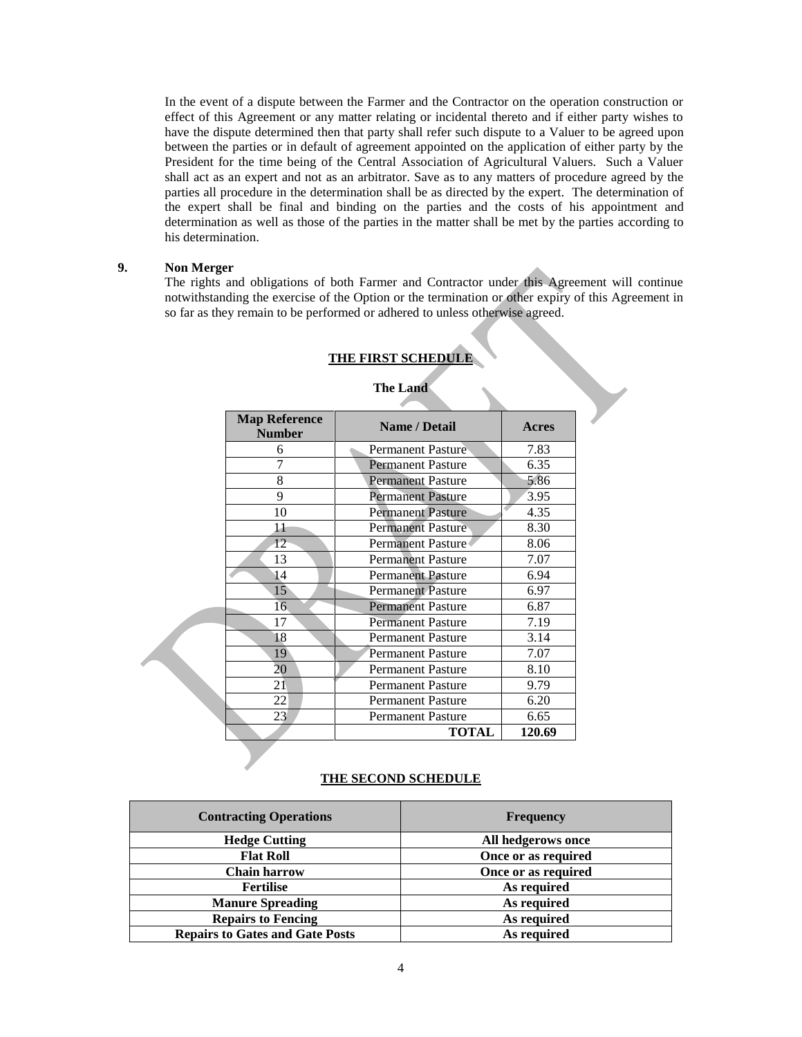In the event of a dispute between the Farmer and the Contractor on the operation construction or effect of this Agreement or any matter relating or incidental thereto and if either party wishes to have the dispute determined then that party shall refer such dispute to a Valuer to be agreed upon between the parties or in default of agreement appointed on the application of either party by the President for the time being of the Central Association of Agricultural Valuers. Such a Valuer shall act as an expert and not as an arbitrator. Save as to any matters of procedure agreed by the parties all procedure in the determination shall be as directed by the expert. The determination of the expert shall be final and binding on the parties and the costs of his appointment and determination as well as those of the parties in the matter shall be met by the parties according to his determination.

#### **9. Non Merger**

The rights and obligations of both Farmer and Contractor under this Agreement will continue notwithstanding the exercise of the Option or the termination or other expiry of this Agreement in so far as they remain to be performed or adhered to unless otherwise agreed.

| <b>Map Reference</b><br><b>Number</b> | <b>Name / Detail</b>     | Acres  |
|---------------------------------------|--------------------------|--------|
| 6                                     | <b>Permanent Pasture</b> | 7.83   |
| 7                                     | <b>Permanent Pasture</b> | 6.35   |
| 8                                     | <b>Permanent Pasture</b> | 5.86   |
| 9                                     | <b>Permanent Pasture</b> | 3.95   |
| 10                                    | <b>Permanent Pasture</b> | 4.35   |
| 11                                    | <b>Permanent Pasture</b> | 8.30   |
| $12^{\circ}$                          | Permanent Pasture        | 8.06   |
| 13                                    | <b>Permanent Pasture</b> | 7.07   |
| 14                                    | <b>Permanent Pasture</b> | 6.94   |
| 15                                    | <b>Permanent Pasture</b> | 6.97   |
| 16 <sup>1</sup>                       | <b>Permanent Pasture</b> | 6.87   |
| 17                                    | <b>Permanent Pasture</b> | 7.19   |
| 18                                    | <b>Permanent Pasture</b> | 3.14   |
| 19                                    | <b>Permanent Pasture</b> | 7.07   |
| 20                                    | <b>Permanent Pasture</b> | 8.10   |
| 21                                    | <b>Permanent Pasture</b> | 9.79   |
| 22                                    | <b>Permanent Pasture</b> | 6.20   |
| 23                                    | <b>Permanent Pasture</b> | 6.65   |
|                                       | <b>TOTAL</b>             | 120.69 |

#### **THE FIRST SCHEDULE**

## **The Land**

#### **THE SECOND SCHEDULE**

| <b>Contracting Operations</b>          | <b>Frequency</b>    |  |
|----------------------------------------|---------------------|--|
| <b>Hedge Cutting</b>                   | All hedgerows once  |  |
| <b>Flat Roll</b>                       | Once or as required |  |
| <b>Chain harrow</b>                    | Once or as required |  |
| <b>Fertilise</b>                       | As required         |  |
| <b>Manure Spreading</b>                | As required         |  |
| <b>Repairs to Fencing</b>              | As required         |  |
| <b>Repairs to Gates and Gate Posts</b> | As required         |  |